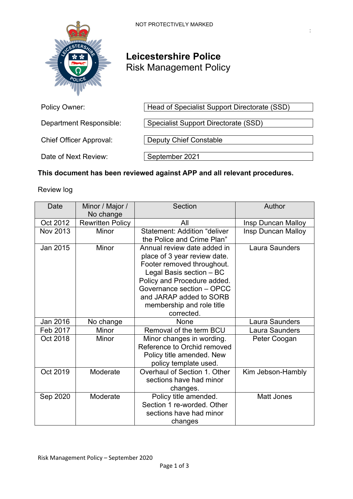:



# **Leicestershire Police** Risk Management Policy

| Policy Owner:                  | Head of Specialist Support Directorate (SSD) |  |
|--------------------------------|----------------------------------------------|--|
| <b>Department Responsible:</b> | Specialist Support Directorate (SSD)         |  |
| <b>Chief Officer Approval:</b> | <b>Deputy Chief Constable</b>                |  |
| Date of Next Review:           | September 2021                               |  |

## **This document has been reviewed against APP and all relevant procedures.**

Review log

| Date            | Minor / Major /<br>No change | <b>Section</b>                                                                                                                                                                                                                                          | Author                |
|-----------------|------------------------------|---------------------------------------------------------------------------------------------------------------------------------------------------------------------------------------------------------------------------------------------------------|-----------------------|
| Oct 2012        | <b>Rewritten Policy</b>      | All                                                                                                                                                                                                                                                     | Insp Duncan Malloy    |
| <b>Nov 2013</b> | Minor                        | <b>Statement: Addition "deliver</b><br>the Police and Crime Plan"                                                                                                                                                                                       | Insp Duncan Malloy    |
| Jan 2015        | Minor                        | Annual review date added in<br>place of 3 year review date.<br>Footer removed throughout.<br>Legal Basis section - BC<br>Policy and Procedure added.<br>Governance section - OPCC<br>and JARAP added to SORB<br>membership and role title<br>corrected. | Laura Saunders        |
| Jan 2016        | No change                    | None                                                                                                                                                                                                                                                    | <b>Laura Saunders</b> |
| Feb 2017        | Minor                        | Removal of the term BCU                                                                                                                                                                                                                                 | <b>Laura Saunders</b> |
| Oct 2018        | Minor                        | Minor changes in wording.<br>Reference to Orchid removed<br>Policy title amended. New<br>policy template used.                                                                                                                                          | Peter Coogan          |
| Oct 2019        | Moderate                     | Overhaul of Section 1, Other<br>sections have had minor<br>changes.                                                                                                                                                                                     | Kim Jebson-Hambly     |
| Sep 2020        | Moderate                     | Policy title amended.<br>Section 1 re-worded, Other<br>sections have had minor<br>changes                                                                                                                                                               | <b>Matt Jones</b>     |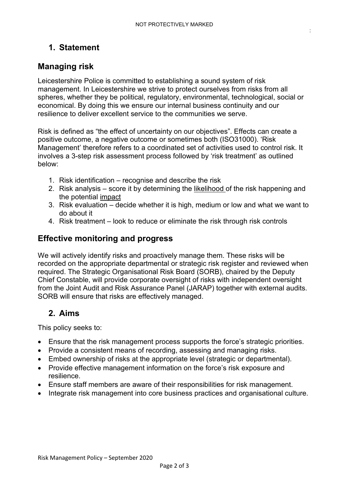:

## **1. Statement**

## **Managing risk**

Leicestershire Police is committed to establishing a sound system of risk management. In Leicestershire we strive to protect ourselves from risks from all spheres, whether they be political, regulatory, environmental, technological, social or economical. By doing this we ensure our internal business continuity and our resilience to deliver excellent service to the communities we serve.

Risk is defined as "the effect of uncertainty on our objectives". Effects can create a positive outcome, a negative outcome or sometimes both (ISO31000). 'Risk Management' therefore refers to a coordinated set of activities used to control risk. It involves a 3-step risk assessment process followed by 'risk treatment' as outlined below:

- 1. Risk identification recognise and describe the risk
- 2. Risk analysis score it by determining the likelihood of the risk happening and the potential impact
- 3. Risk evaluation decide whether it is high, medium or low and what we want to do about it
- 4. Risk treatment look to reduce or eliminate the risk through risk controls

#### **Effective monitoring and progress**

We will actively identify risks and proactively manage them. These risks will be recorded on the appropriate departmental or strategic risk register and reviewed when required. The Strategic Organisational Risk Board (SORB), chaired by the Deputy Chief Constable, will provide corporate oversight of risks with independent oversight from the Joint Audit and Risk Assurance Panel (JARAP) together with external audits. SORB will ensure that risks are effectively managed.

## **2. Aims**

This policy seeks to:

- Ensure that the risk management process supports the force's strategic priorities.
- Provide a consistent means of recording, assessing and managing risks.
- Embed ownership of risks at the appropriate level (strategic or departmental).
- Provide effective management information on the force's risk exposure and resilience.
- Ensure staff members are aware of their responsibilities for risk management.
- Integrate risk management into core business practices and organisational culture.